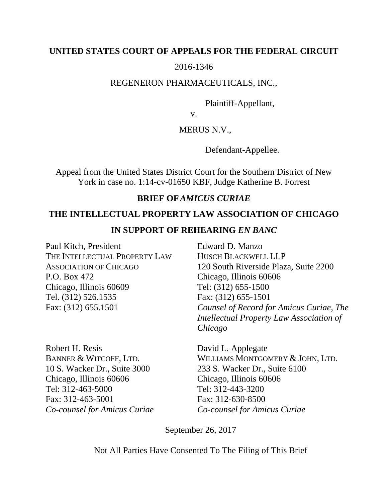## **UNITED STATES COURT OF APPEALS FOR THE FEDERAL CIRCUIT**

# 2016-1346

## REGENERON PHARMACEUTICALS, INC.,

Plaintiff-Appellant,

v.

## MERUS N.V.,

Defendant-Appellee.

Appeal from the United States District Court for the Southern District of New York in case no. 1:14-cv-01650 KBF, Judge Katherine B. Forrest

## **BRIEF OF***AMICUS CURIAE*

## **THE INTELLECTUAL PROPERTY LAW ASSOCIATION OF CHICAGO**

## **IN SUPPORT OF REHEARING** *EN BANC*

Paul Kitch, President THE INTELLECTUAL PROPERTY LAW ASSOCIATION OF CHICAGO P.O. Box 472 Chicago, Illinois 60609 Tel. (312) 526.1535 Fax: (312) 655.1501

Robert H. Resis David L. Applegate Chicago, Illinois 60606 Chicago, Illinois 60606 Tel: 312-463-5000 Tel: 312-443-3200 Fax: 312-463-5001 Fax: 312-630-8500 *Co-counsel for Amicus Curiae Co-counsel for Amicus Curiae* 

Edward D. Manzo HUSCH BLACKWELL LLP 120 South Riverside Plaza, Suite 2200 Chicago, Illinois 60606 Tel: (312) 655-1500 Fax: (312) 655-1501 *Counsel of Record for Amicus Curiae, The Intellectual Property Law Association of Chicago*

BANNER & WITCOFF, LTD. WILLIAMS MONTGOMERY & JOHN, LTD. 10 S. Wacker Dr., Suite 3000 233 S. Wacker Dr., Suite 6100

September 26, 2017

Not All Parties Have Consented To The Filing of This Brief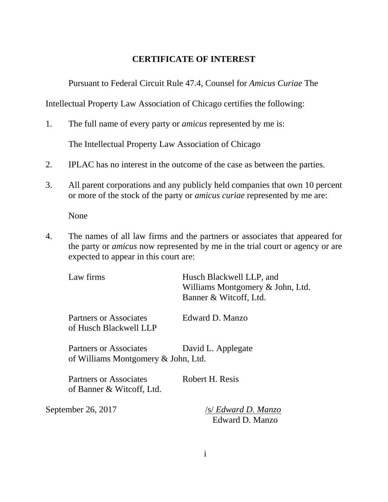# **CERTIFICATE OF INTEREST**

Pursuant to Federal Circuit Rule 47.4, Counsel for *Amicus Curiae* The

Intellectual Property Law Association of Chicago certifies the following:

1. The full name of every party or *amicus* represented by me is:

The Intellectual Property Law Association of Chicago

- 2. IPLAC has no interest in the outcome of the case as between the parties.
- 3. All parent corporations and any publicly held companies that own 10 percent or more of the stock of the party or *amicus curiae* represented by me are:

None

4. The names of all law firms and the partners or associates that appeared for the party or *amicus* now represented by me in the trial court or agency or are expected to appear in this court are:

| Law firms                                                            | Husch Blackwell LLP, and<br>Williams Montgomery & John, Ltd.<br>Banner & Witcoff, Ltd. |
|----------------------------------------------------------------------|----------------------------------------------------------------------------------------|
| Partners or Associates<br>of Husch Blackwell LLP                     | Edward D. Manzo                                                                        |
| <b>Partners or Associates</b><br>of Williams Montgomery & John, Ltd. | David L. Applegate                                                                     |
| <b>Partners or Associates</b><br>of Banner & Witcoff, Ltd.           | Robert H. Resis                                                                        |
| September 26, 2017                                                   | /s/ Edward D. Manzo<br>Edward D. Manzo                                                 |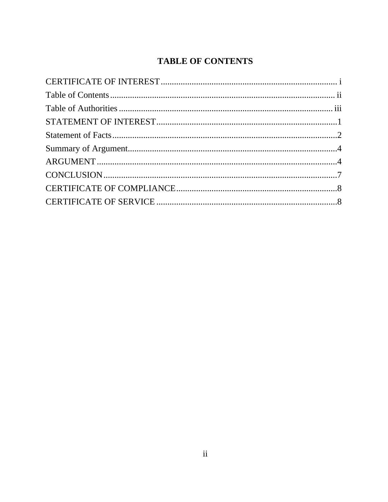# **TABLE OF CONTENTS**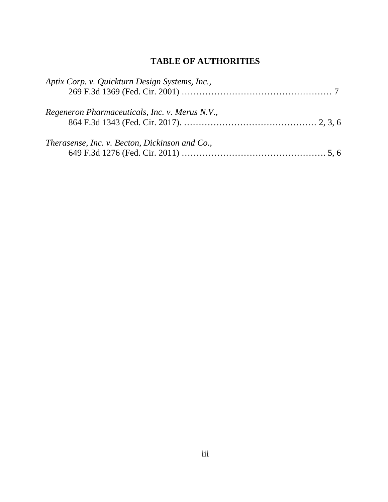# **TABLE OF AUTHORITIES**

| Aptix Corp. v. Quickturn Design Systems, Inc., |  |
|------------------------------------------------|--|
| Regeneron Pharmaceuticals, Inc. v. Merus N.V., |  |
| Therasense, Inc. v. Becton, Dickinson and Co., |  |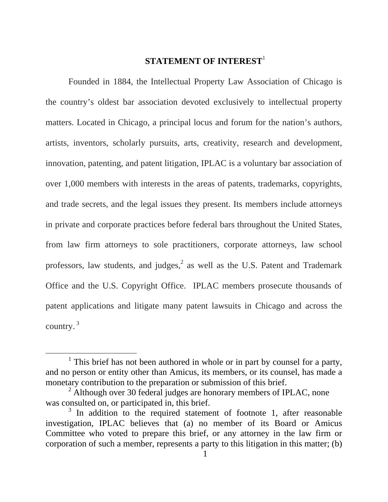# **STATEMENT OF INTEREST**<sup>1</sup>

Founded in 1884, the Intellectual Property Law Association of Chicago is the country's oldest bar association devoted exclusively to intellectual property matters. Located in Chicago, a principal locus and forum for the nation's authors, artists, inventors, scholarly pursuits, arts, creativity, research and development, innovation, patenting, and patent litigation, IPLAC is a voluntary bar association of over 1,000 members with interests in the areas of patents, trademarks, copyrights, and trade secrets, and the legal issues they present. Its members include attorneys in private and corporate practices before federal bars throughout the United States, from law firm attorneys to sole practitioners, corporate attorneys, law school professors, law students, and judges, $<sup>2</sup>$  as well as the U.S. Patent and Trademark</sup> Office and the U.S. Copyright Office. IPLAC members prosecute thousands of patent applications and litigate many patent lawsuits in Chicago and across the country. 3

<sup>&</sup>lt;sup>1</sup> This brief has not been authored in whole or in part by counsel for a party, and no person or entity other than Amicus, its members, or its counsel, has made a monetary contribution to the preparation or submission of this brief.

 $2$  Although over 30 federal judges are honorary members of IPLAC, none was consulted on, or participated in, this brief.

<sup>&</sup>lt;sup>3</sup> In addition to the required statement of footnote 1, after reasonable investigation, IPLAC believes that (a) no member of its Board or Amicus Committee who voted to prepare this brief, or any attorney in the law firm or corporation of such a member, represents a party to this litigation in this matter; (b)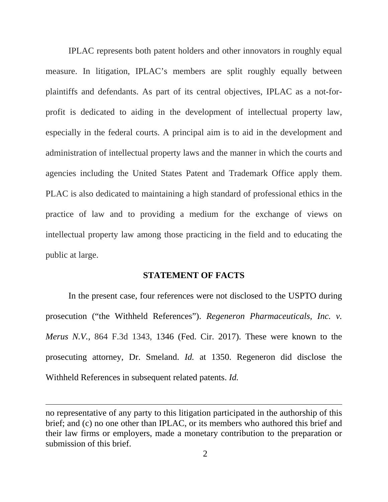IPLAC represents both patent holders and other innovators in roughly equal measure. In litigation, IPLAC's members are split roughly equally between plaintiffs and defendants. As part of its central objectives, IPLAC as a not-forprofit is dedicated to aiding in the development of intellectual property law, especially in the federal courts. A principal aim is to aid in the development and administration of intellectual property laws and the manner in which the courts and agencies including the United States Patent and Trademark Office apply them. PLAC is also dedicated to maintaining a high standard of professional ethics in the practice of law and to providing a medium for the exchange of views on intellectual property law among those practicing in the field and to educating the public at large.

#### **STATEMENT OF FACTS**

In the present case, four references were not disclosed to the USPTO during prosecution ("the Withheld References"). *Regeneron Pharmaceuticals, Inc. v. Merus N.V.,* 864 F.3d 1343, 1346 (Fed. Cir. 2017). These were known to the prosecuting attorney, Dr. Smeland. *Id.* at 1350. Regeneron did disclose the Withheld References in subsequent related patents. *Id.*

<u> 1989 - Johann Stein, marwolaethau a gweledydd a ganlad y ganlad y ganlad y ganlad y ganlad y ganlad y ganlad</u>

no representative of any party to this litigation participated in the authorship of this brief; and (c) no one other than IPLAC, or its members who authored this brief and their law firms or employers, made a monetary contribution to the preparation or submission of this brief.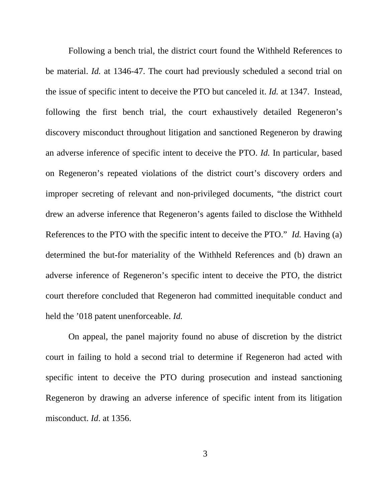Following a bench trial, the district court found the Withheld References to be material. *Id.* at 1346-47. The court had previously scheduled a second trial on the issue of specific intent to deceive the PTO but canceled it. *Id.* at 1347. Instead, following the first bench trial, the court exhaustively detailed Regeneron's discovery misconduct throughout litigation and sanctioned Regeneron by drawing an adverse inference of specific intent to deceive the PTO. *Id.* In particular, based on Regeneron's repeated violations of the district court's discovery orders and improper secreting of relevant and non-privileged documents, "the district court drew an adverse inference that Regeneron's agents failed to disclose the Withheld References to the PTO with the specific intent to deceive the PTO." *Id.* Having (a) determined the but-for materiality of the Withheld References and (b) drawn an adverse inference of Regeneron's specific intent to deceive the PTO, the district court therefore concluded that Regeneron had committed inequitable conduct and held the '018 patent unenforceable. *Id.* 

On appeal, the panel majority found no abuse of discretion by the district court in failing to hold a second trial to determine if Regeneron had acted with specific intent to deceive the PTO during prosecution and instead sanctioning Regeneron by drawing an adverse inference of specific intent from its litigation misconduct. *Id*. at 1356.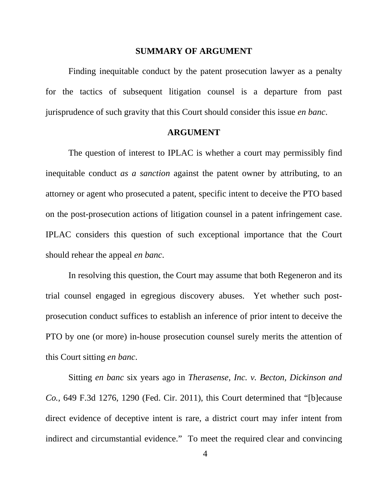#### **SUMMARY OF ARGUMENT**

Finding inequitable conduct by the patent prosecution lawyer as a penalty for the tactics of subsequent litigation counsel is a departure from past jurisprudence of such gravity that this Court should consider this issue *en banc*.

#### **ARGUMENT**

The question of interest to IPLAC is whether a court may permissibly find inequitable conduct *as a sanction* against the patent owner by attributing, to an attorney or agent who prosecuted a patent, specific intent to deceive the PTO based on the post-prosecution actions of litigation counsel in a patent infringement case. IPLAC considers this question of such exceptional importance that the Court should rehear the appeal *en banc*.

In resolving this question, the Court may assume that both Regeneron and its trial counsel engaged in egregious discovery abuses. Yet whether such postprosecution conduct suffices to establish an inference of prior intent to deceive the PTO by one (or more) in-house prosecution counsel surely merits the attention of this Court sitting *en banc*.

Sitting *en banc* six years ago in *Therasense, Inc. v. Becton, Dickinson and Co.,* 649 F.3d 1276, 1290 (Fed. Cir. 2011), this Court determined that "[b]ecause direct evidence of deceptive intent is rare, a district court may infer intent from indirect and circumstantial evidence." To meet the required clear and convincing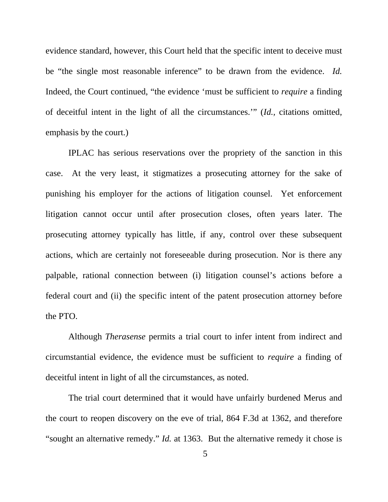evidence standard, however, this Court held that the specific intent to deceive must be "the single most reasonable inference" to be drawn from the evidence. *Id.* Indeed, the Court continued, "the evidence 'must be sufficient to *require* a finding of deceitful intent in the light of all the circumstances.'" (*Id.,* citations omitted, emphasis by the court.)

IPLAC has serious reservations over the propriety of the sanction in this case. At the very least, it stigmatizes a prosecuting attorney for the sake of punishing his employer for the actions of litigation counsel. Yet enforcement litigation cannot occur until after prosecution closes, often years later. The prosecuting attorney typically has little, if any, control over these subsequent actions, which are certainly not foreseeable during prosecution. Nor is there any palpable, rational connection between (i) litigation counsel's actions before a federal court and (ii) the specific intent of the patent prosecution attorney before the PTO.

Although *Therasense* permits a trial court to infer intent from indirect and circumstantial evidence, the evidence must be sufficient to *require* a finding of deceitful intent in light of all the circumstances, as noted.

The trial court determined that it would have unfairly burdened Merus and the court to reopen discovery on the eve of trial, 864 F.3d at 1362, and therefore "sought an alternative remedy." *Id.* at 1363. But the alternative remedy it chose is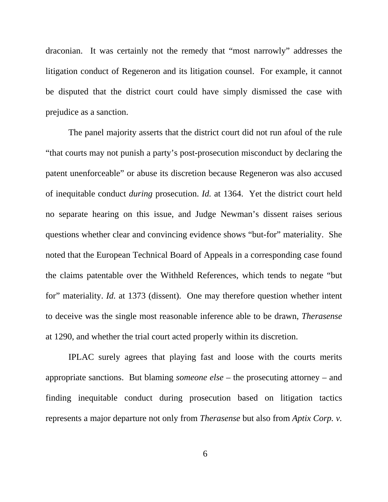draconian. It was certainly not the remedy that "most narrowly" addresses the litigation conduct of Regeneron and its litigation counsel. For example, it cannot be disputed that the district court could have simply dismissed the case with prejudice as a sanction.

The panel majority asserts that the district court did not run afoul of the rule "that courts may not punish a party's post-prosecution misconduct by declaring the patent unenforceable" or abuse its discretion because Regeneron was also accused of inequitable conduct *during* prosecution. *Id.* at 1364. Yet the district court held no separate hearing on this issue, and Judge Newman's dissent raises serious questions whether clear and convincing evidence shows "but-for" materiality. She noted that the European Technical Board of Appeals in a corresponding case found the claims patentable over the Withheld References, which tends to negate "but for" materiality. *Id.* at 1373 (dissent). One may therefore question whether intent to deceive was the single most reasonable inference able to be drawn, *Therasense* at 1290, and whether the trial court acted properly within its discretion.

IPLAC surely agrees that playing fast and loose with the courts merits appropriate sanctions. But blaming *someone else* – the prosecuting attorney – and finding inequitable conduct during prosecution based on litigation tactics represents a major departure not only from *Therasense* but also from *Aptix Corp. v.*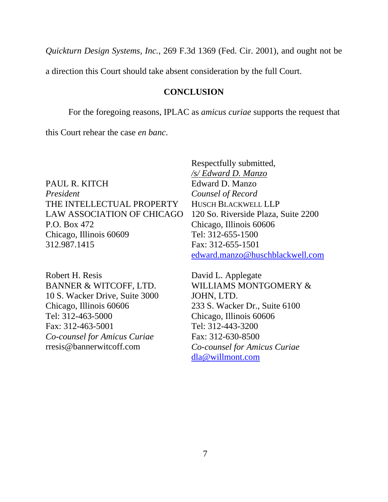*Quickturn Design Systems, Inc.*, 269 F.3d 1369 (Fed. Cir. 2001), and ought not be

a direction this Court should take absent consideration by the full Court.

### **CONCLUSION**

For the foregoing reasons, IPLAC as *amicus curiae* supports the request that

this Court rehear the case *en banc*.

PAUL R. KITCH *President*  THE INTELLECTUAL PROPERTY LAW ASSOCIATION OF CHICAGO P.O. Box 472 Chicago, Illinois 60609 312.987.1415

Robert H. Resis BANNER & WITCOFF, LTD. 10 S. Wacker Drive, Suite 3000 Chicago, Illinois 60606 Tel: 312-463-5000 Fax: 312-463-5001 *Co-counsel for Amicus Curiae*  rresis@bannerwitcoff.com

Respectfully submitted, */s/ Edward D. Manzo* Edward D. Manzo *Counsel of Record*  HUSCH BLACKWELL LLP 120 So. Riverside Plaza, Suite 2200 Chicago, Illinois 60606 Tel: 312-655-1500 Fax: 312-655-1501 edward.manzo@huschblackwell.com

David L. Applegate WILLIAMS MONTGOMERY & JOHN, LTD. 233 S. Wacker Dr., Suite 6100 Chicago, Illinois 60606 Tel: 312-443-3200 Fax: 312-630-8500 *Co-counsel for Amicus Curiae* dla@willmont.com